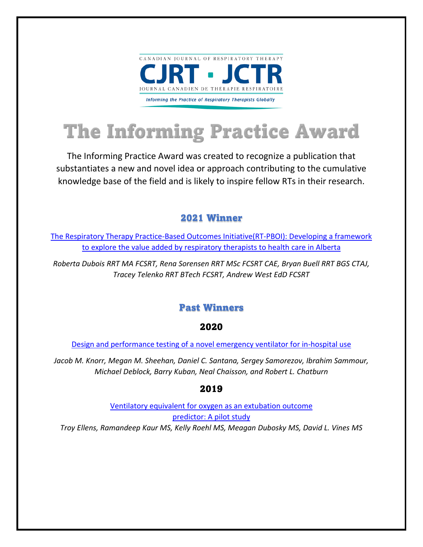

# **The Informing Practice Award**

The Informing Practice Award was created to recognize a publication that substantiates a new and novel idea or approach contributing to the cumulative knowledge base of the field and is likely to inspire fellow RTs in their research.

# 2021 Winner

[The Respiratory Therapy Practice-Based Outcomes Initiative\(RT-PBOI\): Developing a framework](https://www.cjrt.ca/wp-content/uploads/cjrt-2021-010.pdf)  [to explore the value added by respiratory therapists to health care in Alberta](https://www.cjrt.ca/wp-content/uploads/cjrt-2021-010.pdf)

*Roberta Dubois RRT MA FCSRT, Rena Sorensen RRT MSc FCSRT CAE, Bryan Buell RRT BGS CTAJ, Tracey Telenko RRT BTech FCSRT, Andrew West EdD FCSRT*

## Past Winners

#### 2020

[Design and performance testing of a novel emergency ventilator for in-hospital use](https://www.cjrt.ca/wp-content/uploads/cjrt-2020-023.pdf)

*Jacob M. Knorr, Megan M. Sheehan, Daniel C. Santana, Sergey Samorezov, Ibrahim Sammour, Michael Deblock, Barry Kuban, Neal Chaisson, and Robert L. Chatburn*

## 2019

[Ventilatory equivalent for oxygen as an extubation outcome](https://www.cjrt.ca/wp-content/uploads/cjrt-2019-007.pdf) [predictor: A pilot study](https://www.cjrt.ca/wp-content/uploads/cjrt-2019-007.pdf) *Troy Ellens, Ramandeep Kaur MS, Kelly Roehl MS, Meagan Dubosky MS, David L. Vines MS*